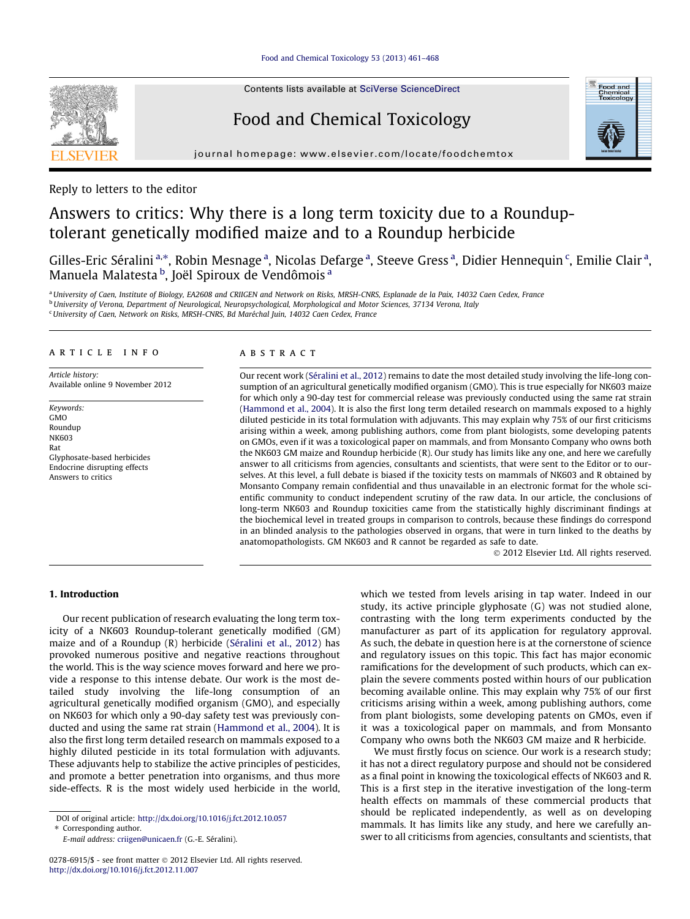[Food and Chemical Toxicology 53 \(2013\) 461–468](http://dx.doi.org/10.1016/j.fct.2012.10.057)



Contents lists available at [SciVerse ScienceDirect](http://www.sciencedirect.com/science/journal/02786915)

# Food and Chemical Toxicology



journal homepage: [www.elsevier.com/locate/foodchemtox](http://www.elsevier.com/locate/foodchemtox)

# Reply to letters to the editor

# Answers to critics: Why there is a long term toxicity due to a Rounduptolerant genetically modified maize and to a Roundup herbicide

Gilles-Eric Séralini<sup>a,\*</sup>, Robin Mesnage<sup>a</sup>, Nicolas Defarge<sup>a</sup>, Steeve Gress<sup>a</sup>, Didier Hennequin<sup>c</sup>, Emilie Clair<sup>a</sup>, Manuela Malatesta <sup>b</sup>, Joël Spiroux de Vendômois <sup>a</sup>

<sup>a</sup> University of Caen, Institute of Biology, EA2608 and CRIIGEN and Network on Risks, MRSH-CNRS, Esplanade de la Paix, 14032 Caen Cedex, France <sup>b</sup> University of Verona, Department of Neurological, Neuropsychological, Morphological and Motor Sciences, 37134 Verona, Italy <sup>c</sup> University of Caen, Network on Risks, MRSH-CNRS, Bd Maréchal Juin, 14032 Caen Cedex, France

## article info

Article history: Available online 9 November 2012

Keywords: GMO Roundup NK603 Rat Glyphosate-based herbicides Endocrine disrupting effects Answers to critics

# ABSTRACT

Our recent work ([Séralini et al., 2012\)](#page-7-0) remains to date the most detailed study involving the life-long consumption of an agricultural genetically modified organism (GMO). This is true especially for NK603 maize for which only a 90-day test for commercial release was previously conducted using the same rat strain ([Hammond et al., 2004\)](#page-6-0). It is also the first long term detailed research on mammals exposed to a highly diluted pesticide in its total formulation with adjuvants. This may explain why 75% of our first criticisms arising within a week, among publishing authors, come from plant biologists, some developing patents on GMOs, even if it was a toxicological paper on mammals, and from Monsanto Company who owns both the NK603 GM maize and Roundup herbicide (R). Our study has limits like any one, and here we carefully answer to all criticisms from agencies, consultants and scientists, that were sent to the Editor or to ourselves. At this level, a full debate is biased if the toxicity tests on mammals of NK603 and R obtained by Monsanto Company remain confidential and thus unavailable in an electronic format for the whole scientific community to conduct independent scrutiny of the raw data. In our article, the conclusions of long-term NK603 and Roundup toxicities came from the statistically highly discriminant findings at the biochemical level in treated groups in comparison to controls, because these findings do correspond in an blinded analysis to the pathologies observed in organs, that were in turn linked to the deaths by anatomopathologists. GM NK603 and R cannot be regarded as safe to date.

- 2012 Elsevier Ltd. All rights reserved.

# 1. Introduction

Our recent publication of research evaluating the long term toxicity of a NK603 Roundup-tolerant genetically modified (GM) maize and of a Roundup (R) herbicide ([Séralini et al., 2012](#page-7-0)) has provoked numerous positive and negative reactions throughout the world. This is the way science moves forward and here we provide a response to this intense debate. Our work is the most detailed study involving the life-long consumption of an agricultural genetically modified organism (GMO), and especially on NK603 for which only a 90-day safety test was previously conducted and using the same rat strain ([Hammond et al., 2004\)](#page-6-0). It is also the first long term detailed research on mammals exposed to a highly diluted pesticide in its total formulation with adjuvants. These adjuvants help to stabilize the active principles of pesticides, and promote a better penetration into organisms, and thus more side-effects. R is the most widely used herbicide in the world,

⇑ Corresponding author.

E-mail address: [criigen@unicaen.fr](mailto:criigen@unicaen.fr) (G.-E. Séralini).

which we tested from levels arising in tap water. Indeed in our study, its active principle glyphosate (G) was not studied alone, contrasting with the long term experiments conducted by the manufacturer as part of its application for regulatory approval. As such, the debate in question here is at the cornerstone of science and regulatory issues on this topic. This fact has major economic ramifications for the development of such products, which can explain the severe comments posted within hours of our publication becoming available online. This may explain why 75% of our first criticisms arising within a week, among publishing authors, come from plant biologists, some developing patents on GMOs, even if it was a toxicological paper on mammals, and from Monsanto Company who owns both the NK603 GM maize and R herbicide.

We must firstly focus on science. Our work is a research study; it has not a direct regulatory purpose and should not be considered as a final point in knowing the toxicological effects of NK603 and R. This is a first step in the iterative investigation of the long-term health effects on mammals of these commercial products that should be replicated independently, as well as on developing mammals. It has limits like any study, and here we carefully answer to all criticisms from agencies, consultants and scientists, that

DOI of original article: <http://dx.doi.org/10.1016/j.fct.2012.10.057>

<sup>0278-6915/\$ -</sup> see front matter © 2012 Elsevier Ltd. All rights reserved. <http://dx.doi.org/10.1016/j.fct.2012.11.007>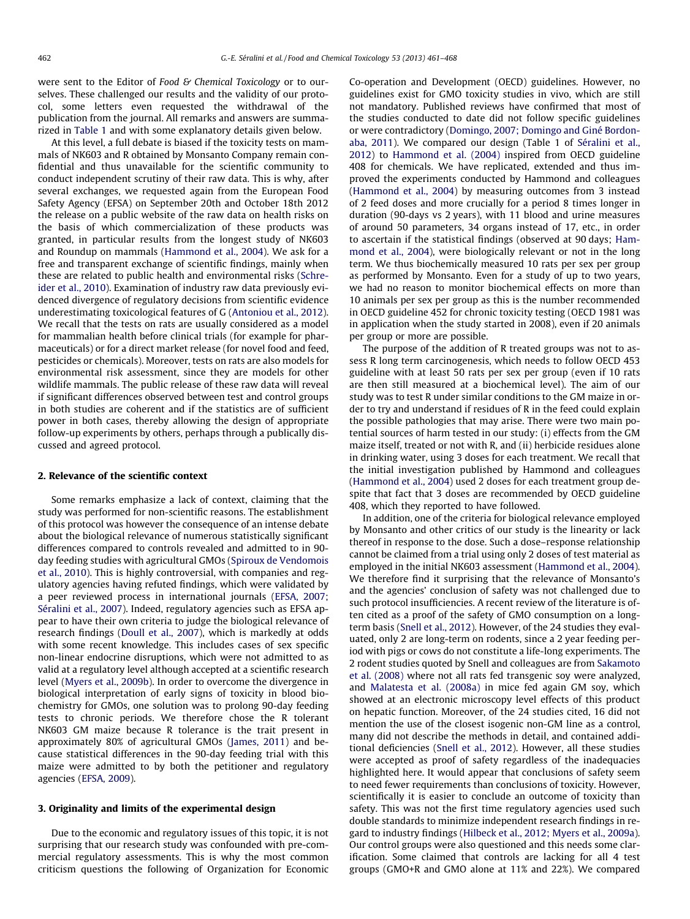were sent to the Editor of Food & Chemical Toxicology or to ourselves. These challenged our results and the validity of our protocol, some letters even requested the withdrawal of the publication from the journal. All remarks and answers are summarized in [Table 1](#page-2-0) and with some explanatory details given below.

At this level, a full debate is biased if the toxicity tests on mammals of NK603 and R obtained by Monsanto Company remain confidential and thus unavailable for the scientific community to conduct independent scrutiny of their raw data. This is why, after several exchanges, we requested again from the European Food Safety Agency (EFSA) on September 20th and October 18th 2012 the release on a public website of the raw data on health risks on the basis of which commercialization of these products was granted, in particular results from the longest study of NK603 and Roundup on mammals [\(Hammond et al., 2004](#page-6-0)). We ask for a free and transparent exchange of scientific findings, mainly when these are related to public health and environmental risks ([Schre](#page-7-0)[ider et al., 2010](#page-7-0)). Examination of industry raw data previously evidenced divergence of regulatory decisions from scientific evidence underestimating toxicological features of G ([Antoniou et al., 2012\)](#page-6-0). We recall that the tests on rats are usually considered as a model for mammalian health before clinical trials (for example for pharmaceuticals) or for a direct market release (for novel food and feed, pesticides or chemicals). Moreover, tests on rats are also models for environmental risk assessment, since they are models for other wildlife mammals. The public release of these raw data will reveal if significant differences observed between test and control groups in both studies are coherent and if the statistics are of sufficient power in both cases, thereby allowing the design of appropriate follow-up experiments by others, perhaps through a publically discussed and agreed protocol.

## 2. Relevance of the scientific context

Some remarks emphasize a lack of context, claiming that the study was performed for non-scientific reasons. The establishment of this protocol was however the consequence of an intense debate about the biological relevance of numerous statistically significant differences compared to controls revealed and admitted to in 90 day feeding studies with agricultural GMOs ([Spiroux de Vendomois](#page-7-0) [et al., 2010\)](#page-7-0). This is highly controversial, with companies and regulatory agencies having refuted findings, which were validated by a peer reviewed process in international journals [\(EFSA, 2007;](#page-6-0) [Séralini et al., 2007\)](#page-6-0). Indeed, regulatory agencies such as EFSA appear to have their own criteria to judge the biological relevance of research findings ([Doull et al., 2007\)](#page-6-0), which is markedly at odds with some recent knowledge. This includes cases of sex specific non-linear endocrine disruptions, which were not admitted to as valid at a regulatory level although accepted at a scientific research level [\(Myers et al., 2009b](#page-7-0)). In order to overcome the divergence in biological interpretation of early signs of toxicity in blood biochemistry for GMOs, one solution was to prolong 90-day feeding tests to chronic periods. We therefore chose the R tolerant NK603 GM maize because R tolerance is the trait present in approximately 80% of agricultural GMOs [\(James, 2011](#page-6-0)) and because statistical differences in the 90-day feeding trial with this maize were admitted to by both the petitioner and regulatory agencies ([EFSA, 2009](#page-6-0)).

## 3. Originality and limits of the experimental design

Due to the economic and regulatory issues of this topic, it is not surprising that our research study was confounded with pre-commercial regulatory assessments. This is why the most common criticism questions the following of Organization for Economic Co-operation and Development (OECD) guidelines. However, no guidelines exist for GMO toxicity studies in vivo, which are still not mandatory. Published reviews have confirmed that most of the studies conducted to date did not follow specific guidelines or were contradictory [\(Domingo, 2007; Domingo and Giné Bordon](#page-6-0)[aba, 2011\)](#page-6-0). We compared our design (Table 1 of [Séralini et al.,](#page-7-0) [2012\)](#page-7-0) to [Hammond et al. \(2004\)](#page-6-0) inspired from OECD guideline 408 for chemicals. We have replicated, extended and thus improved the experiments conducted by Hammond and colleagues ([Hammond et al., 2004](#page-6-0)) by measuring outcomes from 3 instead of 2 feed doses and more crucially for a period 8 times longer in duration (90-days vs 2 years), with 11 blood and urine measures of around 50 parameters, 34 organs instead of 17, etc., in order to ascertain if the statistical findings (observed at 90 days; [Ham](#page-6-0)[mond et al., 2004\)](#page-6-0), were biologically relevant or not in the long term. We thus biochemically measured 10 rats per sex per group as performed by Monsanto. Even for a study of up to two years, we had no reason to monitor biochemical effects on more than 10 animals per sex per group as this is the number recommended in OECD guideline 452 for chronic toxicity testing (OECD 1981 was in application when the study started in 2008), even if 20 animals per group or more are possible.

The purpose of the addition of R treated groups was not to assess R long term carcinogenesis, which needs to follow OECD 453 guideline with at least 50 rats per sex per group (even if 10 rats are then still measured at a biochemical level). The aim of our study was to test R under similar conditions to the GM maize in order to try and understand if residues of R in the feed could explain the possible pathologies that may arise. There were two main potential sources of harm tested in our study: (i) effects from the GM maize itself, treated or not with R, and (ii) herbicide residues alone in drinking water, using 3 doses for each treatment. We recall that the initial investigation published by Hammond and colleagues ([Hammond et al., 2004](#page-6-0)) used 2 doses for each treatment group despite that fact that 3 doses are recommended by OECD guideline 408, which they reported to have followed.

In addition, one of the criteria for biological relevance employed by Monsanto and other critics of our study is the linearity or lack thereof in response to the dose. Such a dose–response relationship cannot be claimed from a trial using only 2 doses of test material as employed in the initial NK603 assessment ([Hammond et al., 2004\)](#page-6-0). We therefore find it surprising that the relevance of Monsanto's and the agencies' conclusion of safety was not challenged due to such protocol insufficiencies. A recent review of the literature is often cited as a proof of the safety of GMO consumption on a longterm basis ([Snell et al., 2012\)](#page-7-0). However, of the 24 studies they evaluated, only 2 are long-term on rodents, since a 2 year feeding period with pigs or cows do not constitute a life-long experiments. The 2 rodent studies quoted by Snell and colleagues are from [Sakamoto](#page-7-0) [et al. \(2008\)](#page-7-0) where not all rats fed transgenic soy were analyzed, and [Malatesta et al. \(2008a\)](#page-6-0) in mice fed again GM soy, which showed at an electronic microscopy level effects of this product on hepatic function. Moreover, of the 24 studies cited, 16 did not mention the use of the closest isogenic non-GM line as a control, many did not describe the methods in detail, and contained additional deficiencies [\(Snell et al., 2012](#page-7-0)). However, all these studies were accepted as proof of safety regardless of the inadequacies highlighted here. It would appear that conclusions of safety seem to need fewer requirements than conclusions of toxicity. However, scientifically it is easier to conclude an outcome of toxicity than safety. This was not the first time regulatory agencies used such double standards to minimize independent research findings in regard to industry findings [\(Hilbeck et al., 2012; Myers et al., 2009a\)](#page-6-0). Our control groups were also questioned and this needs some clarification. Some claimed that controls are lacking for all 4 test groups (GMO+R and GMO alone at 11% and 22%). We compared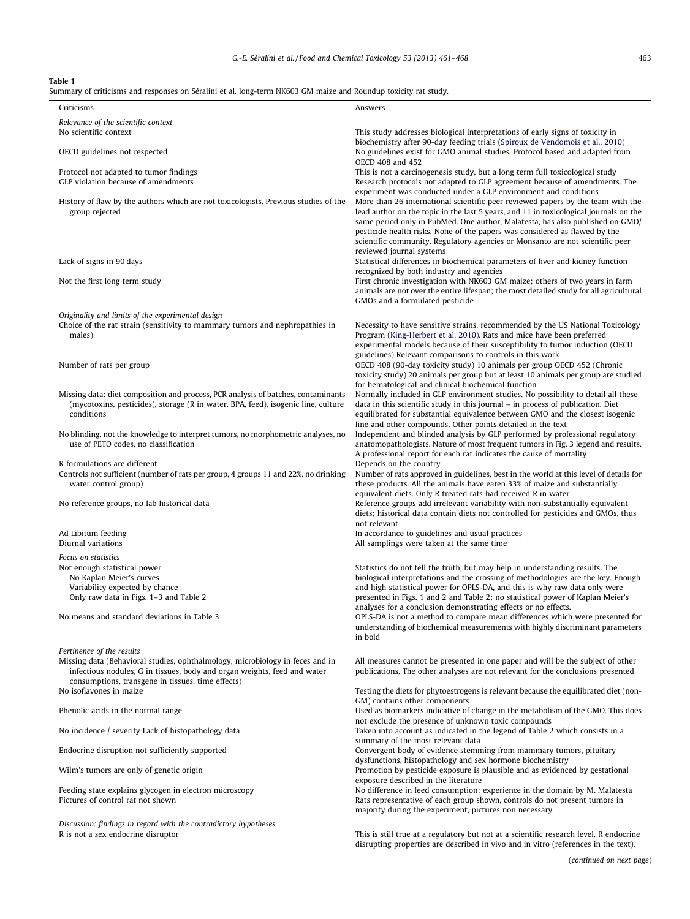## <span id="page-2-0"></span>Table 1

| Criticisms                                                                                                                                                                                                     | Answers                                                                                                                                                                                                                                                                                                                                                                                                                  |
|----------------------------------------------------------------------------------------------------------------------------------------------------------------------------------------------------------------|--------------------------------------------------------------------------------------------------------------------------------------------------------------------------------------------------------------------------------------------------------------------------------------------------------------------------------------------------------------------------------------------------------------------------|
| Relevance of the scientific context                                                                                                                                                                            |                                                                                                                                                                                                                                                                                                                                                                                                                          |
| No scientific context                                                                                                                                                                                          | This study addresses biological interpretations of early signs of toxicity in<br>biochemistry after 90-day feeding trials (Spiroux de Vendomois et al., 2010)                                                                                                                                                                                                                                                            |
| OECD guidelines not respected                                                                                                                                                                                  | No guidelines exist for GMO animal studies. Protocol based and adapted from<br>OECD 408 and 452                                                                                                                                                                                                                                                                                                                          |
| Protocol not adapted to tumor findings<br>GLP violation because of amendments                                                                                                                                  | This is not a carcinogenesis study, but a long term full toxicological study                                                                                                                                                                                                                                                                                                                                             |
|                                                                                                                                                                                                                | Research protocols not adapted to GLP agreement because of amendments. The<br>experiment was conducted under a GLP environment and conditions                                                                                                                                                                                                                                                                            |
| History of flaw by the authors which are not toxicologists. Previous studies of the<br>group rejected                                                                                                          | More than 26 international scientific peer reviewed papers by the team with the<br>lead author on the topic in the last 5 years, and 11 in toxicological journals on the<br>same period only in PubMed. One author, Malatesta, has also published on GMO/<br>pesticide health risks. None of the papers was considered as flawed by the<br>scientific community. Regulatory agencies or Monsanto are not scientific peer |
| Lack of signs in 90 days                                                                                                                                                                                       | reviewed journal systems<br>Statistical differences in biochemical parameters of liver and kidney function<br>recognized by both industry and agencies                                                                                                                                                                                                                                                                   |
| Not the first long term study                                                                                                                                                                                  | First chronic investigation with NK603 GM maize; others of two years in farm<br>animals are not over the entire lifespan; the most detailed study for all agricultural<br>GMOs and a formulated pesticide                                                                                                                                                                                                                |
| Originality and limits of the experimental design<br>Choice of the rat strain (sensitivity to mammary tumors and nephropathies in                                                                              | Necessity to have sensitive strains, recommended by the US National Toxicology                                                                                                                                                                                                                                                                                                                                           |
| males)                                                                                                                                                                                                         | Program (King-Herbert et al. 2010). Rats and mice have been preferred<br>experimental models because of their susceptibility to tumor induction (OECD                                                                                                                                                                                                                                                                    |
| Number of rats per group                                                                                                                                                                                       | guidelines) Relevant comparisons to controls in this work<br>OECD 408 (90-day toxicity study) 10 animals per group OECD 452 (Chronic<br>toxicity study) 20 animals per group but at least 10 animals per group are studied                                                                                                                                                                                               |
| Missing data: diet composition and process, PCR analysis of batches, contaminants                                                                                                                              | for hematological and clinical biochemical function<br>Normally included in GLP environment studies. No possibility to detail all these                                                                                                                                                                                                                                                                                  |
| (mycotoxins, pesticides), storage (R in water, BPA, feed), isogenic line, culture<br>conditions                                                                                                                | data in this scientific study in this journal – in process of publication. Diet<br>equilibrated for substantial equivalence between GMO and the closest isogenic<br>line and other compounds. Other points detailed in the text                                                                                                                                                                                          |
| No blinding, not the knowledge to interpret tumors, no morphometric analyses, no<br>use of PETO codes, no classification                                                                                       | Independent and blinded analysis by GLP performed by professional regulatory<br>anatomopathologists. Nature of most frequent tumors in Fig. 3 legend and results.<br>A professional report for each rat indicates the cause of mortality                                                                                                                                                                                 |
| R formulations are different                                                                                                                                                                                   | Depends on the country                                                                                                                                                                                                                                                                                                                                                                                                   |
| Controls not sufficient (number of rats per group, 4 groups 11 and 22%, no drinking<br>water control group)                                                                                                    | Number of rats approved in guidelines, best in the world at this level of details for<br>these products. All the animals have eaten 33% of maize and substantially<br>equivalent diets. Only R treated rats had received R in water                                                                                                                                                                                      |
| No reference groups, no lab historical data                                                                                                                                                                    | Reference groups add irrelevant variability with non-substantially equivalent<br>diets; historical data contain diets not controlled for pesticides and GMOs, thus<br>not relevant                                                                                                                                                                                                                                       |
| Ad Libitum feeding<br>Diurnal variations                                                                                                                                                                       | In accordance to guidelines and usual practices<br>All samplings were taken at the same time                                                                                                                                                                                                                                                                                                                             |
| Focus on statistics                                                                                                                                                                                            |                                                                                                                                                                                                                                                                                                                                                                                                                          |
| Not enough statistical power                                                                                                                                                                                   | Statistics do not tell the truth, but may help in understanding results. The                                                                                                                                                                                                                                                                                                                                             |
| No Kaplan Meier's curves                                                                                                                                                                                       | biological interpretations and the crossing of methodologies are the key. Enough                                                                                                                                                                                                                                                                                                                                         |
| Variability expected by chance<br>Only raw data in Figs. 1-3 and Table 2                                                                                                                                       | and high statistical power for OPLS-DA, and this is why raw data only were<br>presented in Figs. 1 and 2 and Table 2; no statistical power of Kaplan Meier's                                                                                                                                                                                                                                                             |
| No means and standard deviations in Table 3                                                                                                                                                                    | analyses for a conclusion demonstrating effects or no effects.<br>OPLS-DA is not a method to compare mean differences which were presented for<br>understanding of biochemical measurements with highly discriminant parameters                                                                                                                                                                                          |
|                                                                                                                                                                                                                | in bold                                                                                                                                                                                                                                                                                                                                                                                                                  |
| Pertinence of the results                                                                                                                                                                                      |                                                                                                                                                                                                                                                                                                                                                                                                                          |
| Missing data (Behavioral studies, ophthalmology, microbiology in feces and in<br>infectious nodules, G in tissues, body and organ weights, feed and water<br>consumptions, transgene in tissues, time effects) | All measures cannot be presented in one paper and will be the subject of other<br>publications. The other analyses are not relevant for the conclusions presented                                                                                                                                                                                                                                                        |
| No isoflavones in maize                                                                                                                                                                                        | Testing the diets for phytoestrogens is relevant because the equilibrated diet (non-                                                                                                                                                                                                                                                                                                                                     |
| Phenolic acids in the normal range                                                                                                                                                                             | GM) contains other components<br>Used as biomarkers indicative of change in the metabolism of the GMO. This does<br>not exclude the presence of unknown toxic compounds                                                                                                                                                                                                                                                  |
| No incidence / severity Lack of histopathology data                                                                                                                                                            | Taken into account as indicated in the legend of Table 2 which consists in a<br>summary of the most relevant data                                                                                                                                                                                                                                                                                                        |
| Endocrine disruption not sufficiently supported                                                                                                                                                                | Convergent body of evidence stemming from mammary tumors, pituitary<br>dysfunctions, histopathology and sex hormone biochemistry                                                                                                                                                                                                                                                                                         |
| Wilm's tumors are only of genetic origin                                                                                                                                                                       | Promotion by pesticide exposure is plausible and as evidenced by gestational<br>exposure described in the literature                                                                                                                                                                                                                                                                                                     |
| Feeding state explains glycogen in electron microscopy<br>Pictures of control rat not shown                                                                                                                    | No difference in feed consumption; experience in the domain by M. Malatesta<br>Rats representative of each group shown, controls do not present tumors in<br>majority during the experiment, pictures non necessary                                                                                                                                                                                                      |
| Discussion: findings in regard with the contradictory hypotheses                                                                                                                                               |                                                                                                                                                                                                                                                                                                                                                                                                                          |
| R is not a sex endocrine disruptor                                                                                                                                                                             | This is still true at a regulatory but not at a scientific research level. R endocrine<br>disrupting properties are described in vivo and in vitro (references in the text).                                                                                                                                                                                                                                             |
|                                                                                                                                                                                                                | (continued on next page)                                                                                                                                                                                                                                                                                                                                                                                                 |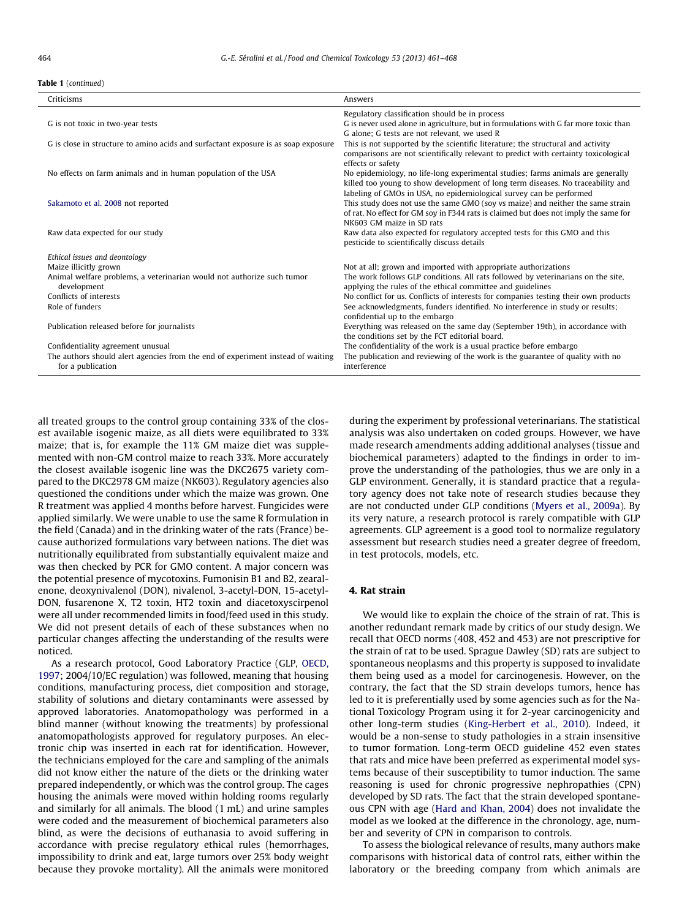## Table 1 (continued)

| Criticisms                                                                                           | Answers                                                                                                                                                                                                                                   |
|------------------------------------------------------------------------------------------------------|-------------------------------------------------------------------------------------------------------------------------------------------------------------------------------------------------------------------------------------------|
| G is not toxic in two-year tests                                                                     | Regulatory classification should be in process<br>G is never used alone in agriculture, but in formulations with G far more toxic than                                                                                                    |
|                                                                                                      | G alone; G tests are not relevant, we used R                                                                                                                                                                                              |
| G is close in structure to amino acids and surfactant exposure is as soap exposure                   | This is not supported by the scientific literature; the structural and activity<br>comparisons are not scientifically relevant to predict with certainty toxicological<br>effects or safety                                               |
| No effects on farm animals and in human population of the USA                                        | No epidemiology, no life-long experimental studies; farms animals are generally<br>killed too young to show development of long term diseases. No traceability and<br>labeling of GMOs in USA, no epidemiological survey can be performed |
| Sakamoto et al. 2008 not reported                                                                    | This study does not use the same GMO (soy vs maize) and neither the same strain<br>of rat. No effect for GM soy in F344 rats is claimed but does not imply the same for<br>NK603 GM maize in SD rats                                      |
| Raw data expected for our study                                                                      | Raw data also expected for regulatory accepted tests for this GMO and this<br>pesticide to scientifically discuss details                                                                                                                 |
| Ethical issues and deontology                                                                        |                                                                                                                                                                                                                                           |
| Maize illicitly grown                                                                                | Not at all; grown and imported with appropriate authorizations                                                                                                                                                                            |
| Animal welfare problems, a veterinarian would not authorize such tumor<br>development                | The work follows GLP conditions. All rats followed by veterinarians on the site,<br>applying the rules of the ethical committee and guidelines                                                                                            |
| Conflicts of interests                                                                               | No conflict for us. Conflicts of interests for companies testing their own products                                                                                                                                                       |
| Role of funders                                                                                      | See acknowledgments, funders identified. No interference in study or results;<br>confidential up to the embargo                                                                                                                           |
| Publication released before for journalists                                                          | Everything was released on the same day (September 19th), in accordance with<br>the conditions set by the FCT editorial board.                                                                                                            |
| Confidentiality agreement unusual                                                                    | The confidentiality of the work is a usual practice before embargo                                                                                                                                                                        |
| The authors should alert agencies from the end of experiment instead of waiting<br>for a publication | The publication and reviewing of the work is the guarantee of quality with no<br>interference                                                                                                                                             |

all treated groups to the control group containing 33% of the closest available isogenic maize, as all diets were equilibrated to 33% maize; that is, for example the 11% GM maize diet was supplemented with non-GM control maize to reach 33%. More accurately the closest available isogenic line was the DKC2675 variety compared to the DKC2978 GM maize (NK603). Regulatory agencies also questioned the conditions under which the maize was grown. One R treatment was applied 4 months before harvest. Fungicides were applied similarly. We were unable to use the same R formulation in the field (Canada) and in the drinking water of the rats (France) because authorized formulations vary between nations. The diet was nutritionally equilibrated from substantially equivalent maize and was then checked by PCR for GMO content. A major concern was the potential presence of mycotoxins. Fumonisin B1 and B2, zearalenone, deoxynivalenol (DON), nivalenol, 3-acetyl-DON, 15-acetyl-DON, fusarenone X, T2 toxin, HT2 toxin and diacetoxyscirpenol were all under recommended limits in food/feed used in this study. We did not present details of each of these substances when no particular changes affecting the understanding of the results were noticed.

As a research protocol, Good Laboratory Practice (GLP, [OECD,](#page-7-0) [1997;](#page-7-0) 2004/10/EC regulation) was followed, meaning that housing conditions, manufacturing process, diet composition and storage, stability of solutions and dietary contaminants were assessed by approved laboratories. Anatomopathology was performed in a blind manner (without knowing the treatments) by professional anatomopathologists approved for regulatory purposes. An electronic chip was inserted in each rat for identification. However, the technicians employed for the care and sampling of the animals did not know either the nature of the diets or the drinking water prepared independently, or which was the control group. The cages housing the animals were moved within holding rooms regularly and similarly for all animals. The blood (1 mL) and urine samples were coded and the measurement of biochemical parameters also blind, as were the decisions of euthanasia to avoid suffering in accordance with precise regulatory ethical rules (hemorrhages, impossibility to drink and eat, large tumors over 25% body weight because they provoke mortality). All the animals were monitored during the experiment by professional veterinarians. The statistical analysis was also undertaken on coded groups. However, we have made research amendments adding additional analyses (tissue and biochemical parameters) adapted to the findings in order to improve the understanding of the pathologies, thus we are only in a GLP environment. Generally, it is standard practice that a regulatory agency does not take note of research studies because they are not conducted under GLP conditions [\(Myers et al., 2009a](#page-7-0)). By its very nature, a research protocol is rarely compatible with GLP agreements. GLP agreement is a good tool to normalize regulatory assessment but research studies need a greater degree of freedom, in test protocols, models, etc.

# 4. Rat strain

We would like to explain the choice of the strain of rat. This is another redundant remark made by critics of our study design. We recall that OECD norms (408, 452 and 453) are not prescriptive for the strain of rat to be used. Sprague Dawley (SD) rats are subject to spontaneous neoplasms and this property is supposed to invalidate them being used as a model for carcinogenesis. However, on the contrary, the fact that the SD strain develops tumors, hence has led to it is preferentially used by some agencies such as for the National Toxicology Program using it for 2-year carcinogenicity and other long-term studies [\(King-Herbert et al., 2010](#page-6-0)). Indeed, it would be a non-sense to study pathologies in a strain insensitive to tumor formation. Long-term OECD guideline 452 even states that rats and mice have been preferred as experimental model systems because of their susceptibility to tumor induction. The same reasoning is used for chronic progressive nephropathies (CPN) developed by SD rats. The fact that the strain developed spontaneous CPN with age [\(Hard and Khan, 2004\)](#page-6-0) does not invalidate the model as we looked at the difference in the chronology, age, number and severity of CPN in comparison to controls.

To assess the biological relevance of results, many authors make comparisons with historical data of control rats, either within the laboratory or the breeding company from which animals are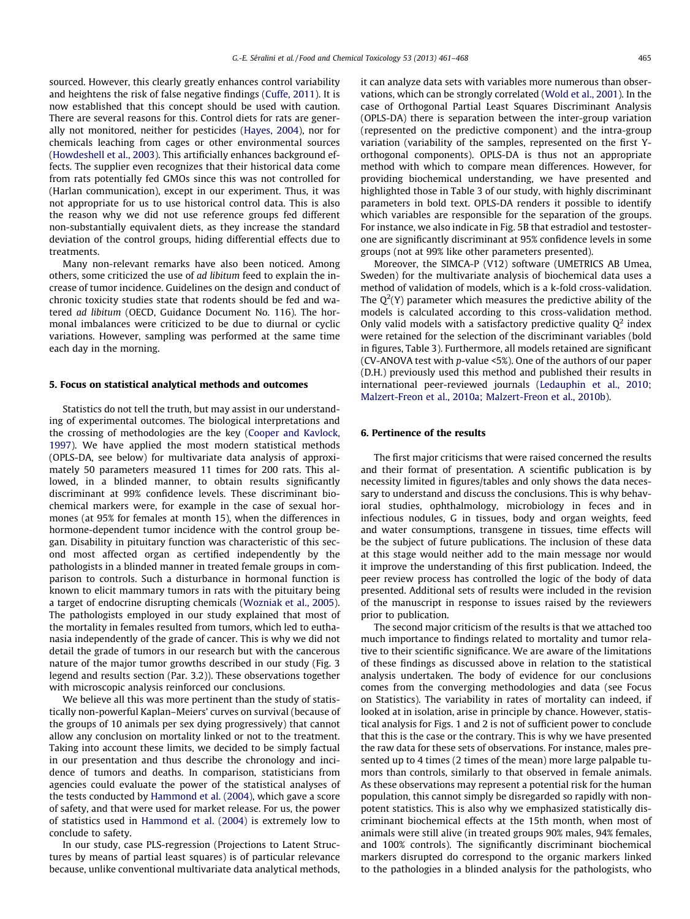sourced. However, this clearly greatly enhances control variability and heightens the risk of false negative findings [\(Cuffe, 2011](#page-6-0)). It is now established that this concept should be used with caution. There are several reasons for this. Control diets for rats are generally not monitored, neither for pesticides ([Hayes, 2004\)](#page-6-0), nor for chemicals leaching from cages or other environmental sources ([Howdeshell et al., 2003\)](#page-6-0). This artificially enhances background effects. The supplier even recognizes that their historical data come from rats potentially fed GMOs since this was not controlled for (Harlan communication), except in our experiment. Thus, it was not appropriate for us to use historical control data. This is also the reason why we did not use reference groups fed different non-substantially equivalent diets, as they increase the standard deviation of the control groups, hiding differential effects due to treatments.

Many non-relevant remarks have also been noticed. Among others, some criticized the use of ad libitum feed to explain the increase of tumor incidence. Guidelines on the design and conduct of chronic toxicity studies state that rodents should be fed and watered ad libitum (OECD, Guidance Document No. 116). The hormonal imbalances were criticized to be due to diurnal or cyclic variations. However, sampling was performed at the same time each day in the morning.

## 5. Focus on statistical analytical methods and outcomes

Statistics do not tell the truth, but may assist in our understanding of experimental outcomes. The biological interpretations and the crossing of methodologies are the key [\(Cooper and Kavlock,](#page-6-0) [1997\)](#page-6-0). We have applied the most modern statistical methods (OPLS-DA, see below) for multivariate data analysis of approximately 50 parameters measured 11 times for 200 rats. This allowed, in a blinded manner, to obtain results significantly discriminant at 99% confidence levels. These discriminant biochemical markers were, for example in the case of sexual hormones (at 95% for females at month 15), when the differences in hormone-dependent tumor incidence with the control group began. Disability in pituitary function was characteristic of this second most affected organ as certified independently by the pathologists in a blinded manner in treated female groups in comparison to controls. Such a disturbance in hormonal function is known to elicit mammary tumors in rats with the pituitary being a target of endocrine disrupting chemicals [\(Wozniak et al., 2005\)](#page-7-0). The pathologists employed in our study explained that most of the mortality in females resulted from tumors, which led to euthanasia independently of the grade of cancer. This is why we did not detail the grade of tumors in our research but with the cancerous nature of the major tumor growths described in our study (Fig. 3 legend and results section (Par. 3.2)). These observations together with microscopic analysis reinforced our conclusions.

We believe all this was more pertinent than the study of statistically non-powerful Kaplan–Meiers' curves on survival (because of the groups of 10 animals per sex dying progressively) that cannot allow any conclusion on mortality linked or not to the treatment. Taking into account these limits, we decided to be simply factual in our presentation and thus describe the chronology and incidence of tumors and deaths. In comparison, statisticians from agencies could evaluate the power of the statistical analyses of the tests conducted by [Hammond et al. \(2004\),](#page-6-0) which gave a score of safety, and that were used for market release. For us, the power of statistics used in [Hammond et al. \(2004\)](#page-6-0) is extremely low to conclude to safety.

In our study, case PLS-regression (Projections to Latent Structures by means of partial least squares) is of particular relevance because, unlike conventional multivariate data analytical methods, it can analyze data sets with variables more numerous than observations, which can be strongly correlated ([Wold et al., 2001\)](#page-7-0). In the case of Orthogonal Partial Least Squares Discriminant Analysis (OPLS-DA) there is separation between the inter-group variation (represented on the predictive component) and the intra-group variation (variability of the samples, represented on the first Yorthogonal components). OPLS-DA is thus not an appropriate method with which to compare mean differences. However, for providing biochemical understanding, we have presented and highlighted those in Table 3 of our study, with highly discriminant parameters in bold text. OPLS-DA renders it possible to identify which variables are responsible for the separation of the groups. For instance, we also indicate in Fig. 5B that estradiol and testosterone are significantly discriminant at 95% confidence levels in some groups (not at 99% like other parameters presented).

Moreover, the SIMCA-P (V12) software (UMETRICS AB Umea, Sweden) for the multivariate analysis of biochemical data uses a method of validation of models, which is a k-fold cross-validation. The  $Q^2(Y)$  parameter which measures the predictive ability of the models is calculated according to this cross-validation method. Only valid models with a satisfactory predictive quality  $Q^2$  index were retained for the selection of the discriminant variables (bold in figures, Table 3). Furthermore, all models retained are significant (CV-ANOVA test with p-value <5%). One of the authors of our paper (D.H.) previously used this method and published their results in international peer-reviewed journals [\(Ledauphin et al., 2010;](#page-6-0) [Malzert-Freon et al., 2010a; Malzert-Freon et al., 2010b\)](#page-6-0).

### 6. Pertinence of the results

The first major criticisms that were raised concerned the results and their format of presentation. A scientific publication is by necessity limited in figures/tables and only shows the data necessary to understand and discuss the conclusions. This is why behavioral studies, ophthalmology, microbiology in feces and in infectious nodules, G in tissues, body and organ weights, feed and water consumptions, transgene in tissues, time effects will be the subject of future publications. The inclusion of these data at this stage would neither add to the main message nor would it improve the understanding of this first publication. Indeed, the peer review process has controlled the logic of the body of data presented. Additional sets of results were included in the revision of the manuscript in response to issues raised by the reviewers prior to publication.

The second major criticism of the results is that we attached too much importance to findings related to mortality and tumor relative to their scientific significance. We are aware of the limitations of these findings as discussed above in relation to the statistical analysis undertaken. The body of evidence for our conclusions comes from the converging methodologies and data (see Focus on Statistics). The variability in rates of mortality can indeed, if looked at in isolation, arise in principle by chance. However, statistical analysis for Figs. 1 and 2 is not of sufficient power to conclude that this is the case or the contrary. This is why we have presented the raw data for these sets of observations. For instance, males presented up to 4 times (2 times of the mean) more large palpable tumors than controls, similarly to that observed in female animals. As these observations may represent a potential risk for the human population, this cannot simply be disregarded so rapidly with nonpotent statistics. This is also why we emphasized statistically discriminant biochemical effects at the 15th month, when most of animals were still alive (in treated groups 90% males, 94% females, and 100% controls). The significantly discriminant biochemical markers disrupted do correspond to the organic markers linked to the pathologies in a blinded analysis for the pathologists, who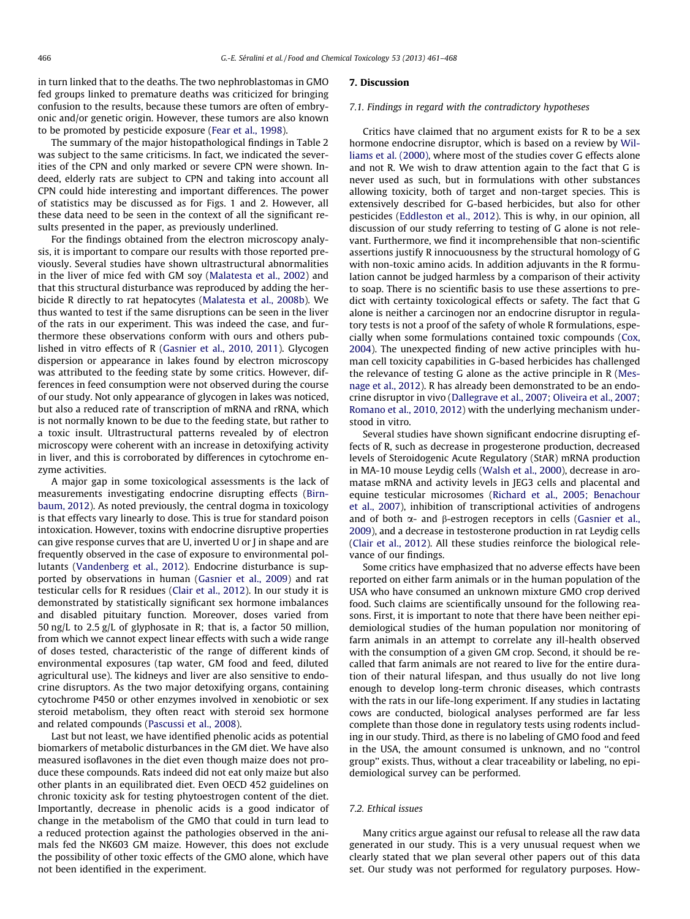in turn linked that to the deaths. The two nephroblastomas in GMO fed groups linked to premature deaths was criticized for bringing confusion to the results, because these tumors are often of embryonic and/or genetic origin. However, these tumors are also known to be promoted by pesticide exposure ([Fear et al., 1998\)](#page-6-0).

The summary of the major histopathological findings in Table 2 was subject to the same criticisms. In fact, we indicated the severities of the CPN and only marked or severe CPN were shown. Indeed, elderly rats are subject to CPN and taking into account all CPN could hide interesting and important differences. The power of statistics may be discussed as for Figs. 1 and 2. However, all these data need to be seen in the context of all the significant results presented in the paper, as previously underlined.

For the findings obtained from the electron microscopy analysis, it is important to compare our results with those reported previously. Several studies have shown ultrastructural abnormalities in the liver of mice fed with GM soy ([Malatesta et al., 2002\)](#page-6-0) and that this structural disturbance was reproduced by adding the herbicide R directly to rat hepatocytes ([Malatesta et al., 2008b\)](#page-6-0). We thus wanted to test if the same disruptions can be seen in the liver of the rats in our experiment. This was indeed the case, and furthermore these observations conform with ours and others published in vitro effects of R ([Gasnier et al., 2010, 2011\)](#page-6-0). Glycogen dispersion or appearance in lakes found by electron microscopy was attributed to the feeding state by some critics. However, differences in feed consumption were not observed during the course of our study. Not only appearance of glycogen in lakes was noticed, but also a reduced rate of transcription of mRNA and rRNA, which is not normally known to be due to the feeding state, but rather to a toxic insult. Ultrastructural patterns revealed by of electron microscopy were coherent with an increase in detoxifying activity in liver, and this is corroborated by differences in cytochrome enzyme activities.

A major gap in some toxicological assessments is the lack of measurements investigating endocrine disrupting effects ([Birn](#page-6-0)[baum, 2012](#page-6-0)). As noted previously, the central dogma in toxicology is that effects vary linearly to dose. This is true for standard poison intoxication. However, toxins with endocrine disruptive properties can give response curves that are U, inverted U or J in shape and are frequently observed in the case of exposure to environmental pollutants ([Vandenberg et al., 2012](#page-7-0)). Endocrine disturbance is supported by observations in human [\(Gasnier et al., 2009](#page-6-0)) and rat testicular cells for R residues [\(Clair et al., 2012\)](#page-6-0). In our study it is demonstrated by statistically significant sex hormone imbalances and disabled pituitary function. Moreover, doses varied from 50 ng/L to 2.5 g/L of glyphosate in R; that is, a factor 50 million, from which we cannot expect linear effects with such a wide range of doses tested, characteristic of the range of different kinds of environmental exposures (tap water, GM food and feed, diluted agricultural use). The kidneys and liver are also sensitive to endocrine disruptors. As the two major detoxifying organs, containing cytochrome P450 or other enzymes involved in xenobiotic or sex steroid metabolism, they often react with steroid sex hormone and related compounds [\(Pascussi et al., 2008\)](#page-7-0).

Last but not least, we have identified phenolic acids as potential biomarkers of metabolic disturbances in the GM diet. We have also measured isoflavones in the diet even though maize does not produce these compounds. Rats indeed did not eat only maize but also other plants in an equilibrated diet. Even OECD 452 guidelines on chronic toxicity ask for testing phytoestrogen content of the diet. Importantly, decrease in phenolic acids is a good indicator of change in the metabolism of the GMO that could in turn lead to a reduced protection against the pathologies observed in the animals fed the NK603 GM maize. However, this does not exclude the possibility of other toxic effects of the GMO alone, which have not been identified in the experiment.

## 7. Discussion

### 7.1. Findings in regard with the contradictory hypotheses

Critics have claimed that no argument exists for R to be a sex hormone endocrine disruptor, which is based on a review by [Wil](#page-7-0)[liams et al. \(2000\),](#page-7-0) where most of the studies cover G effects alone and not R. We wish to draw attention again to the fact that G is never used as such, but in formulations with other substances allowing toxicity, both of target and non-target species. This is extensively described for G-based herbicides, but also for other pesticides [\(Eddleston et al., 2012\)](#page-6-0). This is why, in our opinion, all discussion of our study referring to testing of G alone is not relevant. Furthermore, we find it incomprehensible that non-scientific assertions justify R innocuousness by the structural homology of G with non-toxic amino acids. In addition adjuvants in the R formulation cannot be judged harmless by a comparison of their activity to soap. There is no scientific basis to use these assertions to predict with certainty toxicological effects or safety. The fact that G alone is neither a carcinogen nor an endocrine disruptor in regulatory tests is not a proof of the safety of whole R formulations, especially when some formulations contained toxic compounds ([Cox,](#page-6-0) [2004\)](#page-6-0). The unexpected finding of new active principles with human cell toxicity capabilities in G-based herbicides has challenged the relevance of testing G alone as the active principle in R ([Mes](#page-7-0)[nage et al., 2012](#page-7-0)). R has already been demonstrated to be an endocrine disruptor in vivo ([Dallegrave et al., 2007; Oliveira et al., 2007;](#page-6-0) [Romano et al., 2010, 2012\)](#page-6-0) with the underlying mechanism understood in vitro.

Several studies have shown significant endocrine disrupting effects of R, such as decrease in progesterone production, decreased levels of Steroidogenic Acute Regulatory (StAR) mRNA production in MA-10 mouse Leydig cells ([Walsh et al., 2000\)](#page-7-0), decrease in aromatase mRNA and activity levels in JEG3 cells and placental and equine testicular microsomes [\(Richard et al., 2005; Benachour](#page-7-0) [et al., 2007\)](#page-7-0), inhibition of transcriptional activities of androgens and of both  $\alpha$ - and  $\beta$ -estrogen receptors in cells ([Gasnier et al.,](#page-6-0) [2009\)](#page-6-0), and a decrease in testosterone production in rat Leydig cells ([Clair et al., 2012](#page-6-0)). All these studies reinforce the biological relevance of our findings.

Some critics have emphasized that no adverse effects have been reported on either farm animals or in the human population of the USA who have consumed an unknown mixture GMO crop derived food. Such claims are scientifically unsound for the following reasons. First, it is important to note that there have been neither epidemiological studies of the human population nor monitoring of farm animals in an attempt to correlate any ill-health observed with the consumption of a given GM crop. Second, it should be recalled that farm animals are not reared to live for the entire duration of their natural lifespan, and thus usually do not live long enough to develop long-term chronic diseases, which contrasts with the rats in our life-long experiment. If any studies in lactating cows are conducted, biological analyses performed are far less complete than those done in regulatory tests using rodents including in our study. Third, as there is no labeling of GMO food and feed in the USA, the amount consumed is unknown, and no ''control group'' exists. Thus, without a clear traceability or labeling, no epidemiological survey can be performed.

## 7.2. Ethical issues

Many critics argue against our refusal to release all the raw data generated in our study. This is a very unusual request when we clearly stated that we plan several other papers out of this data set. Our study was not performed for regulatory purposes. How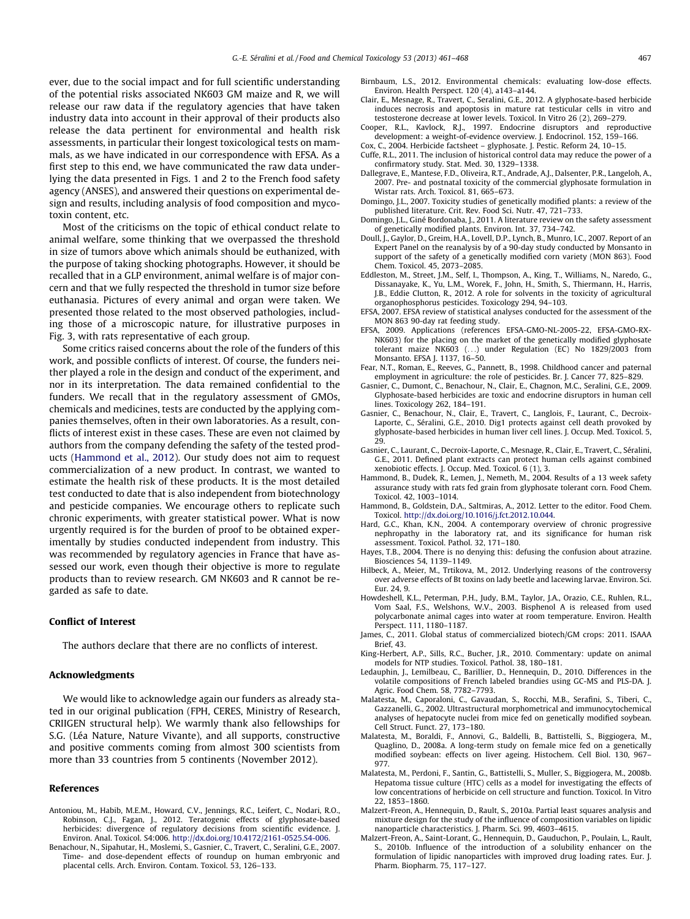<span id="page-6-0"></span>ever, due to the social impact and for full scientific understanding of the potential risks associated NK603 GM maize and R, we will release our raw data if the regulatory agencies that have taken industry data into account in their approval of their products also release the data pertinent for environmental and health risk assessments, in particular their longest toxicological tests on mammals, as we have indicated in our correspondence with EFSA. As a first step to this end, we have communicated the raw data underlying the data presented in Figs. 1 and 2 to the French food safety agency (ANSES), and answered their questions on experimental design and results, including analysis of food composition and mycotoxin content, etc.

Most of the criticisms on the topic of ethical conduct relate to animal welfare, some thinking that we overpassed the threshold in size of tumors above which animals should be euthanized, with the purpose of taking shocking photographs. However, it should be recalled that in a GLP environment, animal welfare is of major concern and that we fully respected the threshold in tumor size before euthanasia. Pictures of every animal and organ were taken. We presented those related to the most observed pathologies, including those of a microscopic nature, for illustrative purposes in Fig. 3, with rats representative of each group.

Some critics raised concerns about the role of the funders of this work, and possible conflicts of interest. Of course, the funders neither played a role in the design and conduct of the experiment, and nor in its interpretation. The data remained confidential to the funders. We recall that in the regulatory assessment of GMOs, chemicals and medicines, tests are conducted by the applying companies themselves, often in their own laboratories. As a result, conflicts of interest exist in these cases. These are even not claimed by authors from the company defending the safety of the tested products (Hammond et al., 2012). Our study does not aim to request commercialization of a new product. In contrast, we wanted to estimate the health risk of these products. It is the most detailed test conducted to date that is also independent from biotechnology and pesticide companies. We encourage others to replicate such chronic experiments, with greater statistical power. What is now urgently required is for the burden of proof to be obtained experimentally by studies conducted independent from industry. This was recommended by regulatory agencies in France that have assessed our work, even though their objective is more to regulate products than to review research. GM NK603 and R cannot be regarded as safe to date.

### Conflict of Interest

The authors declare that there are no conflicts of interest.

## Acknowledgments

We would like to acknowledge again our funders as already stated in our original publication (FPH, CERES, Ministry of Research, CRIIGEN structural help). We warmly thank also fellowships for S.G. (Léa Nature, Nature Vivante), and all supports, constructive and positive comments coming from almost 300 scientists from more than 33 countries from 5 continents (November 2012).

#### References

- Antoniou, M., Habib, M.E.M., Howard, C.V., Jennings, R.C., Leifert, C., Nodari, R.O., Robinson, C.J., Fagan, J., 2012. Teratogenic effects of glyphosate-based herbicides: divergence of regulatory decisions from scientific evidence. J. Environ. Anal. Toxicol. S4:006. http://dx.doi.org[/10.4172/2161-0525.S4-006.](http://dx.doi.org/10.4172/2161-0525.S4-006)
- Benachour, N., Sipahutar, H., Moslemi, S., Gasnier, C., Travert, C., Seralini, G.E., 2007. Time- and dose-dependent effects of roundup on human embryonic and placental cells. Arch. Environ. Contam. Toxicol. 53, 126–133.
- Birnbaum, L.S., 2012. Environmental chemicals: evaluating low-dose effects. Environ. Health Perspect. 120 (4), a143–a144.
- Clair, E., Mesnage, R., Travert, C., Seralini, G.E., 2012. A glyphosate-based herbicide induces necrosis and apoptosis in mature rat testicular cells in vitro and testosterone decrease at lower levels. Toxicol. In Vitro 26 (2), 269–279.
- Cooper, R.L., Kavlock, R.J., 1997. Endocrine disruptors and reproductive development: a weight-of-evidence overview. J. Endocrinol. 152, 159–166.
- Cox, C., 2004. Herbicide factsheet glyphosate. J. Pestic. Reform 24, 10–15.
- Cuffe, R.L., 2011. The inclusion of historical control data may reduce the power of a confirmatory study. Stat. Med. 30, 1329–1338.
- Dallegrave, E., Mantese, F.D., Oliveira, R.T., Andrade, A.J., Dalsenter, P.R., Langeloh, A., 2007. Pre- and postnatal toxicity of the commercial glyphosate formulation in Wistar rats. Arch. Toxicol. 81, 665–673.
- Domingo, J.L., 2007. Toxicity studies of genetically modified plants: a review of the published literature. Crit. Rev. Food Sci. Nutr. 47, 721–733.
- Domingo, J.L., Giné Bordonaba, J., 2011. A literature review on the safety assessment of genetically modified plants. Environ. Int. 37, 734–742.
- Doull, J., Gaylor, D., Greim, H.A., Lovell, D.P., Lynch, B., Munro, I.C., 2007. Report of an Expert Panel on the reanalysis by of a 90-day study conducted by Monsanto in support of the safety of a genetically modified corn variety (MON 863). Food Chem. Toxicol. 45, 2073–2085.
- Eddleston, M., Street, J.M., Self, I., Thompson, A., King, T., Williams, N., Naredo, G., Dissanayake, K., Yu, L.M., Worek, F., John, H., Smith, S., Thiermann, H., Harris, J.B., Eddie Clutton, R., 2012. A role for solvents in the toxicity of agricultural organophosphorus pesticides. Toxicology 294, 94–103.
- EFSA, 2007. EFSA review of statistical analyses conducted for the assessment of the MON 863 90-day rat feeding study.
- EFSA, 2009. Applications (references EFSA-GMO-NL-2005-22, EFSA-GMO-RX-NK603) for the placing on the market of the genetically modified glyphosate tolerant maize NK603 (...) under Regulation (EC) No 1829/2003 from Monsanto. EFSA J. 1137, 16–50.
- Fear, N.T., Roman, E., Reeves, G., Pannett, B., 1998. Childhood cancer and paternal employment in agriculture: the role of pesticides. Br. J. Cancer 77, 825–829.
- Gasnier, C., Dumont, C., Benachour, N., Clair, E., Chagnon, M.C., Seralini, G.E., 2009. Glyphosate-based herbicides are toxic and endocrine disruptors in human cell lines. Toxicology 262, 184–191.
- Gasnier, C., Benachour, N., Clair, E., Travert, C., Langlois, F., Laurant, C., Decroix-Laporte, C., Séralini, G.E., 2010. Dig1 protects against cell death provoked by glyphosate-based herbicides in human liver cell lines. J. Occup. Med. Toxicol. 5, 29.
- Gasnier, C., Laurant, C., Decroix-Laporte, C., Mesnage, R., Clair, E., Travert, C., Séralini, G.E., 2011. Defined plant extracts can protect human cells against combined xenobiotic effects. J. Occup. Med. Toxicol. 6 (1), 3.
- Hammond, B., Dudek, R., Lemen, J., Nemeth, M., 2004. Results of a 13 week safety assurance study with rats fed grain from glyphosate tolerant corn. Food Chem. Toxicol. 42, 1003–1014.
- Hammond, B., Goldstein, D.A., Saltmiras, A., 2012. Letter to the editor. Food Chem. Toxicol. [http://dx.doi.org/10.1016/j.fct.2012.10.044.](http://dx.doi.org/10.1016/j.fct.2012.10.044)
- Hard, G.C., Khan, K.N., 2004. A contemporary overview of chronic progressive nephropathy in the laboratory rat, and its significance for human risk assessment. Toxicol. Pathol. 32, 171–180.
- Hayes, T.B., 2004. There is no denying this: defusing the confusion about atrazine. Biosciences 54, 1139–1149.
- Hilbeck, A., Meier, M., Trtikova, M., 2012. Underlying reasons of the controversy over adverse effects of Bt toxins on lady beetle and lacewing larvae. Environ. Sci. Eur. 24, 9.
- Howdeshell, K.L., Peterman, P.H., Judy, B.M., Taylor, J.A., Orazio, C.E., Ruhlen, R.L., Vom Saal, F.S., Welshons, W.V., 2003. Bisphenol A is released from used polycarbonate animal cages into water at room temperature. Environ. Health Perspect. 111, 1180–1187.
- James, C., 2011. Global status of commercialized biotech/GM crops: 2011. ISAAA Brief, 43.
- King-Herbert, A.P., Sills, R.C., Bucher, J.R., 2010. Commentary: update on animal models for NTP studies. Toxicol. Pathol. 38, 180–181.
- Ledauphin, J., Lemilbeau, C., Barillier, D., Hennequin, D., 2010. Differences in the volatile compositions of French labeled brandies using GC-MS and PLS-DA. J. Agric. Food Chem. 58, 7782–7793.
- Malatesta, M., Caporaloni, C., Gavaudan, S., Rocchi, M.B., Serafini, S., Tiberi, C., Gazzanelli, G., 2002. Ultrastructural morphometrical and immunocytochemical analyses of hepatocyte nuclei from mice fed on genetically modified soybean. Cell Struct. Funct. 27, 173–180.
- Malatesta, M., Boraldi, F., Annovi, G., Baldelli, B., Battistelli, S., Biggiogera, M., Quaglino, D., 2008a. A long-term study on female mice fed on a genetically modified soybean: effects on liver ageing. Histochem. Cell Biol. 130, 967– 977.
- Malatesta, M., Perdoni, F., Santin, G., Battistelli, S., Muller, S., Biggiogera, M., 2008b. Hepatoma tissue culture (HTC) cells as a model for investigating the effects of low concentrations of herbicide on cell structure and function. Toxicol. In Vitro 22, 1853–1860.
- Malzert-Freon, A., Hennequin, D., Rault, S., 2010a. Partial least squares analysis and mixture design for the study of the influence of composition variables on lipidic nanoparticle characteristics. J. Pharm. Sci. 99, 4603–4615.
- Malzert-Freon, A., Saint-Lorant, G., Hennequin, D., Gauduchon, P., Poulain, L., Rault, S., 2010b. Influence of the introduction of a solubility enhancer on the formulation of lipidic nanoparticles with improved drug loading rates. Eur. J. Pharm. Biopharm. 75, 117–127.